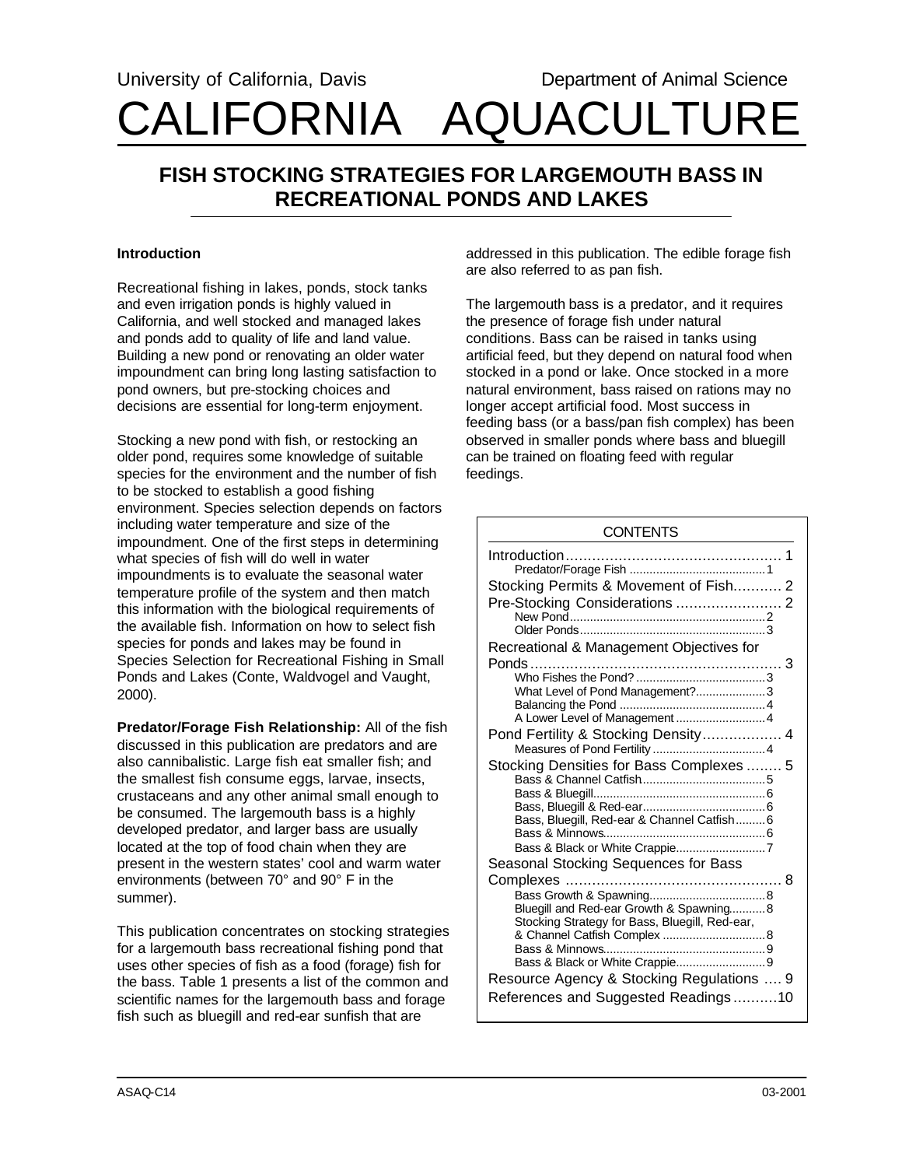# University of California, Davis **Department of Animal Science** CALIFORNIA AQUACULTURE

# **FISH STOCKING STRATEGIES FOR LARGEMOUTH BASS IN RECREATIONAL PONDS AND LAKES**

## **Introduction**

Recreational fishing in lakes, ponds, stock tanks and even irrigation ponds is highly valued in California, and well stocked and managed lakes and ponds add to quality of life and land value. Building a new pond or renovating an older water impoundment can bring long lasting satisfaction to pond owners, but pre-stocking choices and decisions are essential for long-term enjoyment.

Stocking a new pond with fish, or restocking an older pond, requires some knowledge of suitable species for the environment and the number of fish to be stocked to establish a good fishing environment. Species selection depends on factors including water temperature and size of the impoundment. One of the first steps in determining what species of fish will do well in water impoundments is to evaluate the seasonal water temperature profile of the system and then match this information with the biological requirements of the available fish. Information on how to select fish species for ponds and lakes may be found in Species Selection for Recreational Fishing in Small Ponds and Lakes (Conte, Waldvogel and Vaught, 2000).

**Predator/Forage Fish Relationship:** All of the fish discussed in this publication are predators and are also cannibalistic. Large fish eat smaller fish; and the smallest fish consume eggs, larvae, insects, crustaceans and any other animal small enough to be consumed. The largemouth bass is a highly developed predator, and larger bass are usually located at the top of food chain when they are present in the western states' cool and warm water environments (between 70° and 90° F in the summer).

This publication concentrates on stocking strategies for a largemouth bass recreational fishing pond that uses other species of fish as a food (forage) fish for the bass. Table 1 presents a list of the common and scientific names for the largemouth bass and forage fish such as bluegill and red-ear sunfish that are

addressed in this publication. The edible forage fish are also referred to as pan fish.

The largemouth bass is a predator, and it requires the presence of forage fish under natural conditions. Bass can be raised in tanks using artificial feed, but they depend on natural food when stocked in a pond or lake. Once stocked in a more natural environment, bass raised on rations may no longer accept artificial food. Most success in feeding bass (or a bass/pan fish complex) has been observed in smaller ponds where bass and bluegill can be trained on floating feed with regular feedings.

| <b>CONTENTS</b>                                |
|------------------------------------------------|
|                                                |
| Stocking Permits & Movement of Fish 2          |
|                                                |
| Recreational & Management Objectives for       |
|                                                |
|                                                |
| What Level of Pond Management?3                |
|                                                |
| Pond Fertility & Stocking Density 4            |
|                                                |
| Stocking Densities for Bass Complexes  5       |
|                                                |
|                                                |
| Bass, Bluegill, Red-ear & Channel Catfish6     |
|                                                |
|                                                |
| Seasonal Stocking Sequences for Bass           |
|                                                |
| Bluegill and Red-ear Growth & Spawning8        |
| Stocking Strategy for Bass, Bluegill, Red-ear, |
|                                                |
|                                                |
| Resource Agency & Stocking Regulations  9      |
|                                                |
| References and Suggested Readings10            |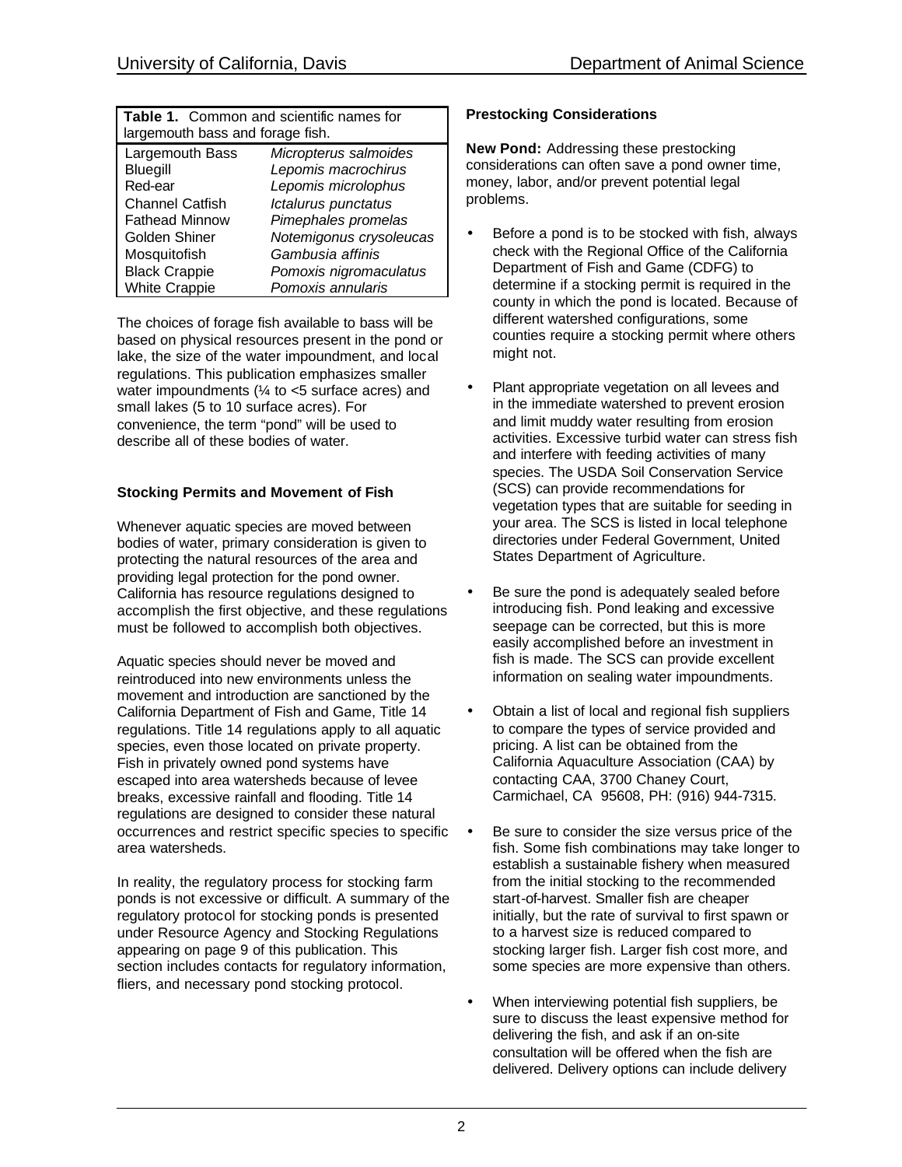| <b>Table 1.</b> Common and scientific names for<br>largemouth bass and forage fish. |                         |  |
|-------------------------------------------------------------------------------------|-------------------------|--|
| Largemouth Bass                                                                     | Micropterus salmoides   |  |
| Bluegill                                                                            | Lepomis macrochirus     |  |
| Red-ear                                                                             | Lepomis microlophus     |  |
| <b>Channel Catfish</b>                                                              | Ictalurus punctatus     |  |
| <b>Fathead Minnow</b>                                                               | Pimephales promelas     |  |
| Golden Shiner                                                                       | Notemigonus crysoleucas |  |
| Mosquitofish                                                                        | Gambusia affinis        |  |
| <b>Black Crappie</b>                                                                | Pomoxis nigromaculatus  |  |
| <b>White Crappie</b>                                                                | Pomoxis annularis       |  |

The choices of forage fish available to bass will be based on physical resources present in the pond or lake, the size of the water impoundment, and local regulations. This publication emphasizes smaller water impoundments  $(½ \text{ to } < 5 \text{ surface acres})$  and small lakes (5 to 10 surface acres). For convenience, the term "pond" will be used to describe all of these bodies of water.

## **Stocking Permits and Movement of Fish**

Whenever aquatic species are moved between bodies of water, primary consideration is given to protecting the natural resources of the area and providing legal protection for the pond owner. California has resource regulations designed to accomplish the first objective, and these regulations must be followed to accomplish both objectives.

Aquatic species should never be moved and reintroduced into new environments unless the movement and introduction are sanctioned by the California Department of Fish and Game, Title 14 regulations. Title 14 regulations apply to all aquatic species, even those located on private property. Fish in privately owned pond systems have escaped into area watersheds because of levee breaks, excessive rainfall and flooding. Title 14 regulations are designed to consider these natural occurrences and restrict specific species to specific area watersheds.

In reality, the regulatory process for stocking farm ponds is not excessive or difficult. A summary of the regulatory protocol for stocking ponds is presented under Resource Agency and Stocking Regulations appearing on page 9 of this publication. This section includes contacts for regulatory information, fliers, and necessary pond stocking protocol.

# **Prestocking Considerations**

**New Pond:** Addressing these prestocking considerations can often save a pond owner time, money, labor, and/or prevent potential legal problems.

- Before a pond is to be stocked with fish, always check with the Regional Office of the California Department of Fish and Game (CDFG) to determine if a stocking permit is required in the county in which the pond is located. Because of different watershed configurations, some counties require a stocking permit where others might not.
- Plant appropriate vegetation on all levees and in the immediate watershed to prevent erosion and limit muddy water resulting from erosion activities. Excessive turbid water can stress fish and interfere with feeding activities of many species. The USDA Soil Conservation Service (SCS) can provide recommendations for vegetation types that are suitable for seeding in your area. The SCS is listed in local telephone directories under Federal Government, United States Department of Agriculture.
- Be sure the pond is adequately sealed before introducing fish. Pond leaking and excessive seepage can be corrected, but this is more easily accomplished before an investment in fish is made. The SCS can provide excellent information on sealing water impoundments.
- Obtain a list of local and regional fish suppliers to compare the types of service provided and pricing. A list can be obtained from the California Aquaculture Association (CAA) by contacting CAA, 3700 Chaney Court, Carmichael, CA 95608, PH: (916) 944-7315.
- Be sure to consider the size versus price of the fish. Some fish combinations may take longer to establish a sustainable fishery when measured from the initial stocking to the recommended start-of-harvest. Smaller fish are cheaper initially, but the rate of survival to first spawn or to a harvest size is reduced compared to stocking larger fish. Larger fish cost more, and some species are more expensive than others.
- When interviewing potential fish suppliers, be sure to discuss the least expensive method for delivering the fish, and ask if an on-site consultation will be offered when the fish are delivered. Delivery options can include delivery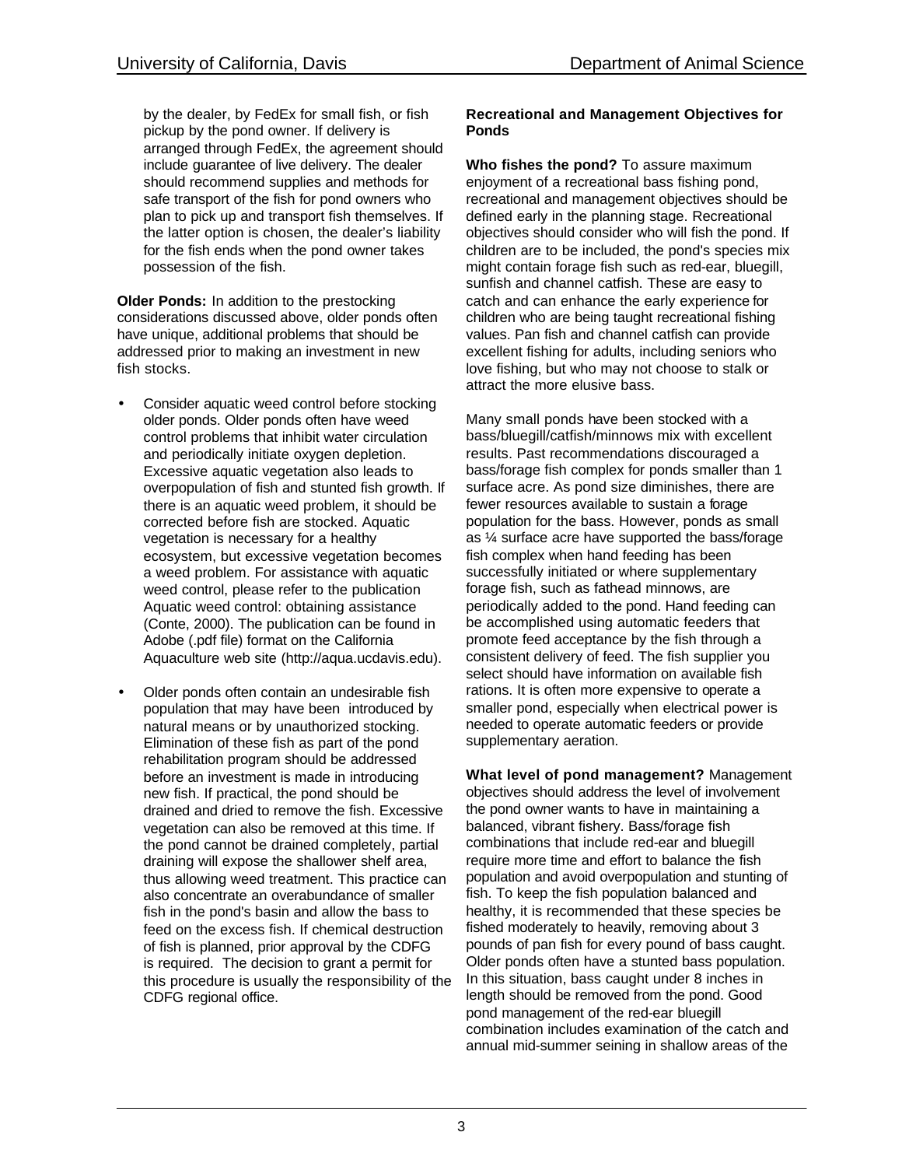by the dealer, by FedEx for small fish, or fish pickup by the pond owner. If delivery is arranged through FedEx, the agreement should include guarantee of live delivery. The dealer should recommend supplies and methods for safe transport of the fish for pond owners who plan to pick up and transport fish themselves. If the latter option is chosen, the dealer's liability for the fish ends when the pond owner takes possession of the fish.

**Older Ponds:** In addition to the prestocking considerations discussed above, older ponds often have unique, additional problems that should be addressed prior to making an investment in new fish stocks.

- Consider aquatic weed control before stocking older ponds. Older ponds often have weed control problems that inhibit water circulation and periodically initiate oxygen depletion. Excessive aquatic vegetation also leads to overpopulation of fish and stunted fish growth. If there is an aquatic weed problem, it should be corrected before fish are stocked. Aquatic vegetation is necessary for a healthy ecosystem, but excessive vegetation becomes a weed problem. For assistance with aquatic weed control, please refer to the publication Aquatic weed control: obtaining assistance (Conte, 2000). The publication can be found in Adobe (.pdf file) format on the California Aquaculture web site (http://aqua.ucdavis.edu).
- Older ponds often contain an undesirable fish population that may have been introduced by natural means or by unauthorized stocking. Elimination of these fish as part of the pond rehabilitation program should be addressed before an investment is made in introducing new fish. If practical, the pond should be drained and dried to remove the fish. Excessive vegetation can also be removed at this time. If the pond cannot be drained completely, partial draining will expose the shallower shelf area, thus allowing weed treatment. This practice can also concentrate an overabundance of smaller fish in the pond's basin and allow the bass to feed on the excess fish. If chemical destruction of fish is planned, prior approval by the CDFG is required. The decision to grant a permit for this procedure is usually the responsibility of the CDFG regional office.

#### **Recreational and Management Objectives for Ponds**

**Who fishes the pond?** To assure maximum enjoyment of a recreational bass fishing pond, recreational and management objectives should be defined early in the planning stage. Recreational objectives should consider who will fish the pond. If children are to be included, the pond's species mix might contain forage fish such as red-ear, bluegill, sunfish and channel catfish. These are easy to catch and can enhance the early experience for children who are being taught recreational fishing values. Pan fish and channel catfish can provide excellent fishing for adults, including seniors who love fishing, but who may not choose to stalk or attract the more elusive bass.

Many small ponds have been stocked with a bass/bluegill/catfish/minnows mix with excellent results. Past recommendations discouraged a bass/forage fish complex for ponds smaller than 1 surface acre. As pond size diminishes, there are fewer resources available to sustain a forage population for the bass. However, ponds as small as ¼ surface acre have supported the bass/forage fish complex when hand feeding has been successfully initiated or where supplementary forage fish, such as fathead minnows, are periodically added to the pond. Hand feeding can be accomplished using automatic feeders that promote feed acceptance by the fish through a consistent delivery of feed. The fish supplier you select should have information on available fish rations. It is often more expensive to operate a smaller pond, especially when electrical power is needed to operate automatic feeders or provide supplementary aeration.

**What level of pond management?** Management objectives should address the level of involvement the pond owner wants to have in maintaining a balanced, vibrant fishery. Bass/forage fish combinations that include red-ear and bluegill require more time and effort to balance the fish population and avoid overpopulation and stunting of fish. To keep the fish population balanced and healthy, it is recommended that these species be fished moderately to heavily, removing about 3 pounds of pan fish for every pound of bass caught. Older ponds often have a stunted bass population. In this situation, bass caught under 8 inches in length should be removed from the pond. Good pond management of the red-ear bluegill combination includes examination of the catch and annual mid-summer seining in shallow areas of the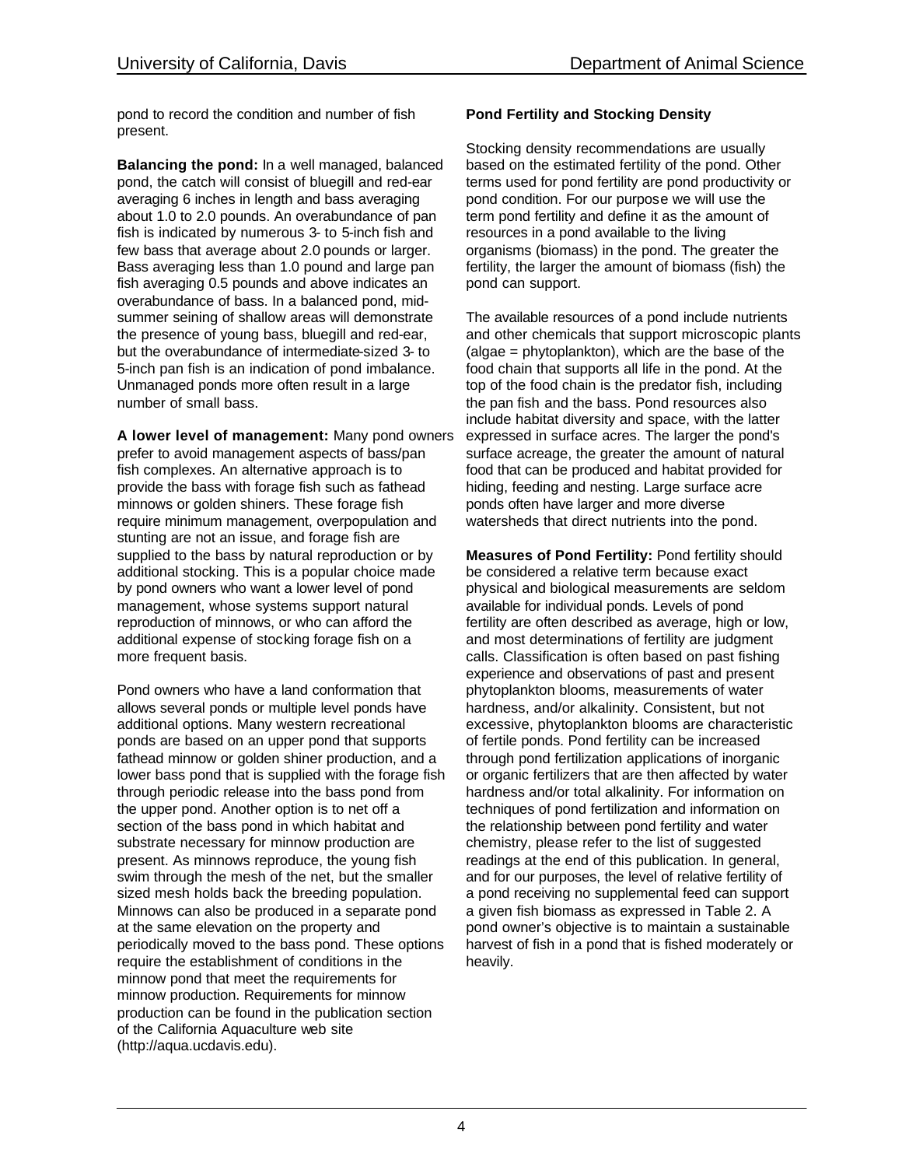pond to record the condition and number of fish present.

**Balancing the pond:** In a well managed, balanced pond, the catch will consist of bluegill and red-ear averaging 6 inches in length and bass averaging about 1.0 to 2.0 pounds. An overabundance of pan fish is indicated by numerous 3- to 5-inch fish and few bass that average about 2.0 pounds or larger. Bass averaging less than 1.0 pound and large pan fish averaging 0.5 pounds and above indicates an overabundance of bass. In a balanced pond, midsummer seining of shallow areas will demonstrate the presence of young bass, bluegill and red-ear, but the overabundance of intermediate-sized 3- to 5-inch pan fish is an indication of pond imbalance. Unmanaged ponds more often result in a large number of small bass.

**A lower level of management:** Many pond owners prefer to avoid management aspects of bass/pan fish complexes. An alternative approach is to provide the bass with forage fish such as fathead minnows or golden shiners. These forage fish require minimum management, overpopulation and stunting are not an issue, and forage fish are supplied to the bass by natural reproduction or by additional stocking. This is a popular choice made by pond owners who want a lower level of pond management, whose systems support natural reproduction of minnows, or who can afford the additional expense of stocking forage fish on a more frequent basis.

Pond owners who have a land conformation that allows several ponds or multiple level ponds have additional options. Many western recreational ponds are based on an upper pond that supports fathead minnow or golden shiner production, and a lower bass pond that is supplied with the forage fish through periodic release into the bass pond from the upper pond. Another option is to net off a section of the bass pond in which habitat and substrate necessary for minnow production are present. As minnows reproduce, the young fish swim through the mesh of the net, but the smaller sized mesh holds back the breeding population. Minnows can also be produced in a separate pond at the same elevation on the property and periodically moved to the bass pond. These options require the establishment of conditions in the minnow pond that meet the requirements for minnow production. Requirements for minnow production can be found in the publication section of the California Aquaculture web site (http://aqua.ucdavis.edu).

# **Pond Fertility and Stocking Density**

Stocking density recommendations are usually based on the estimated fertility of the pond. Other terms used for pond fertility are pond productivity or pond condition. For our purpose we will use the term pond fertility and define it as the amount of resources in a pond available to the living organisms (biomass) in the pond. The greater the fertility, the larger the amount of biomass (fish) the pond can support.

The available resources of a pond include nutrients and other chemicals that support microscopic plants (algae = phytoplankton), which are the base of the food chain that supports all life in the pond. At the top of the food chain is the predator fish, including the pan fish and the bass. Pond resources also include habitat diversity and space, with the latter expressed in surface acres. The larger the pond's surface acreage, the greater the amount of natural food that can be produced and habitat provided for hiding, feeding and nesting. Large surface acre ponds often have larger and more diverse watersheds that direct nutrients into the pond.

**Measures of Pond Fertility:** Pond fertility should be considered a relative term because exact physical and biological measurements are seldom available for individual ponds. Levels of pond fertility are often described as average, high or low, and most determinations of fertility are judgment calls. Classification is often based on past fishing experience and observations of past and present phytoplankton blooms, measurements of water hardness, and/or alkalinity. Consistent, but not excessive, phytoplankton blooms are characteristic of fertile ponds. Pond fertility can be increased through pond fertilization applications of inorganic or organic fertilizers that are then affected by water hardness and/or total alkalinity. For information on techniques of pond fertilization and information on the relationship between pond fertility and water chemistry, please refer to the list of suggested readings at the end of this publication. In general, and for our purposes, the level of relative fertility of a pond receiving no supplemental feed can support a given fish biomass as expressed in Table 2. A pond owner's objective is to maintain a sustainable harvest of fish in a pond that is fished moderately or heavily.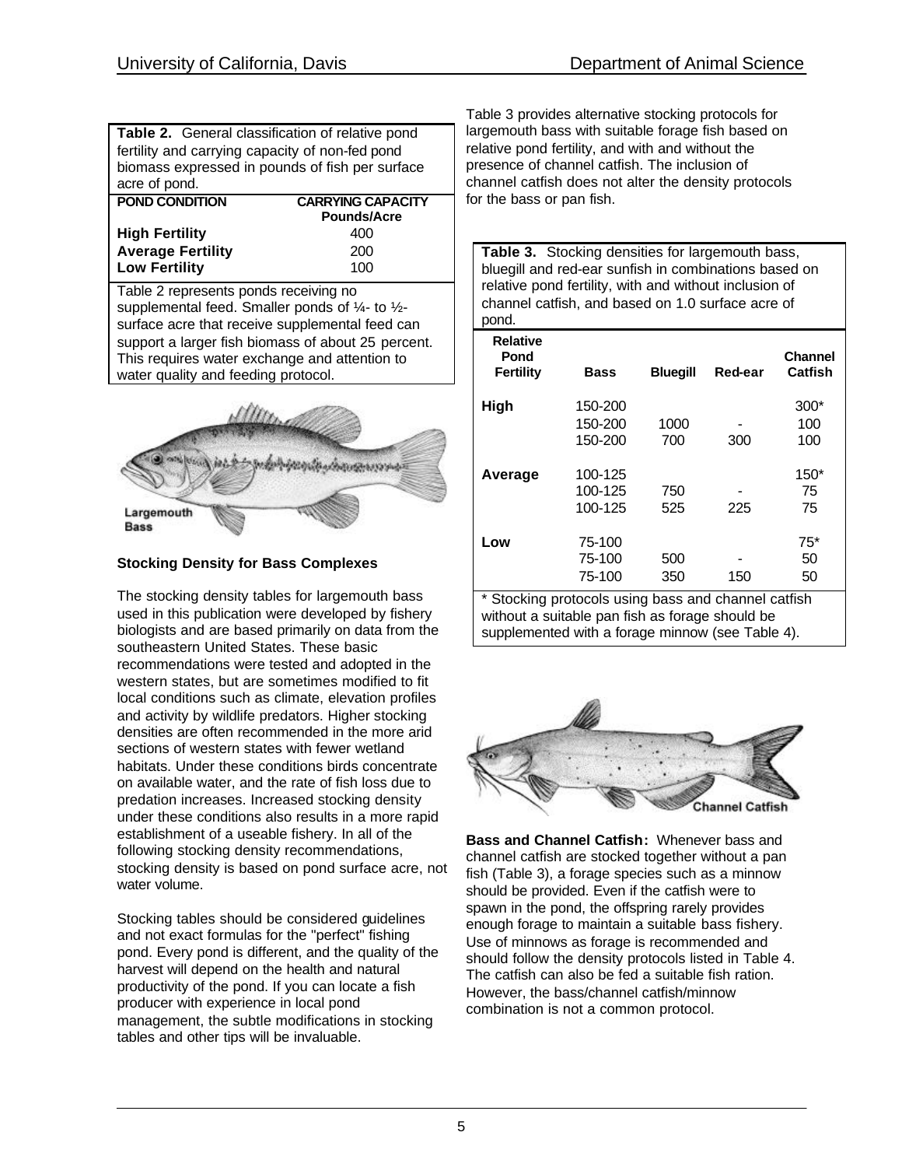| Table 2. General classification of relative pond |                          |  |
|--------------------------------------------------|--------------------------|--|
| fertility and carrying capacity of non-fed pond  |                          |  |
| biomass expressed in pounds of fish per surface  |                          |  |
| acre of pond.                                    |                          |  |
| <b>POND CONDITION</b>                            | <b>CARRYING CAPACITY</b> |  |
|                                                  | Pounds/Acre              |  |
| <b>High Fertility</b>                            | 400                      |  |
| <b>Average Fertility</b>                         | 200                      |  |
| <b>Low Fertility</b>                             | 100                      |  |

Table 2 represents ponds receiving no supplemental feed. Smaller ponds of ¼- to ½ surface acre that receive supplemental feed can support a larger fish biomass of about 25 percent. This requires water exchange and attention to water quality and feeding protocol.



# **Stocking Density for Bass Complexes**

The stocking density tables for largemouth bass used in this publication were developed by fishery biologists and are based primarily on data from the southeastern United States. These basic recommendations were tested and adopted in the western states, but are sometimes modified to fit local conditions such as climate, elevation profiles and activity by wildlife predators. Higher stocking densities are often recommended in the more arid sections of western states with fewer wetland habitats. Under these conditions birds concentrate on available water, and the rate of fish loss due to predation increases. Increased stocking density under these conditions also results in a more rapid establishment of a useable fishery. In all of the following stocking density recommendations, stocking density is based on pond surface acre, not water volume.

Stocking tables should be considered guidelines and not exact formulas for the "perfect" fishing pond. Every pond is different, and the quality of the harvest will depend on the health and natural productivity of the pond. If you can locate a fish producer with experience in local pond management, the subtle modifications in stocking tables and other tips will be invaluable.

Table 3 provides alternative stocking protocols for largemouth bass with suitable forage fish based on relative pond fertility, and with and without the presence of channel catfish. The inclusion of channel catfish does not alter the density protocols for the bass or pan fish.

**Table 3.** Stocking densities for largemouth bass, bluegill and red-ear sunfish in combinations based on relative pond fertility, with and without inclusion of channel catfish, and based on 1.0 surface acre of pond.

| <b>Relative</b><br>Pond<br>Fertility | Bass               | <b>Bluegill</b> | Red-ear | <b>Channel</b><br>Catfish |
|--------------------------------------|--------------------|-----------------|---------|---------------------------|
| High                                 | 150-200<br>150-200 | 1000            |         | $300*$<br>100             |
|                                      | 150-200            | 700             | 300     | 100                       |
| Average                              | 100-125            |                 |         | $150*$                    |
|                                      | 100-125<br>100-125 | 750<br>525      | 225     | 75<br>75                  |
| Low                                  | 75-100             |                 |         | $75*$                     |
|                                      | 75-100<br>75-100   | 500<br>350      | 150     | 50<br>50                  |

\* Stocking protocols using bass and channel catfish without a suitable pan fish as forage should be supplemented with a forage minnow (see Table 4).



**Bass and Channel Catfish:** Whenever bass and channel catfish are stocked together without a pan fish (Table 3), a forage species such as a minnow should be provided. Even if the catfish were to spawn in the pond, the offspring rarely provides enough forage to maintain a suitable bass fishery. Use of minnows as forage is recommended and should follow the density protocols listed in Table 4. The catfish can also be fed a suitable fish ration. However, the bass/channel catfish/minnow combination is not a common protocol.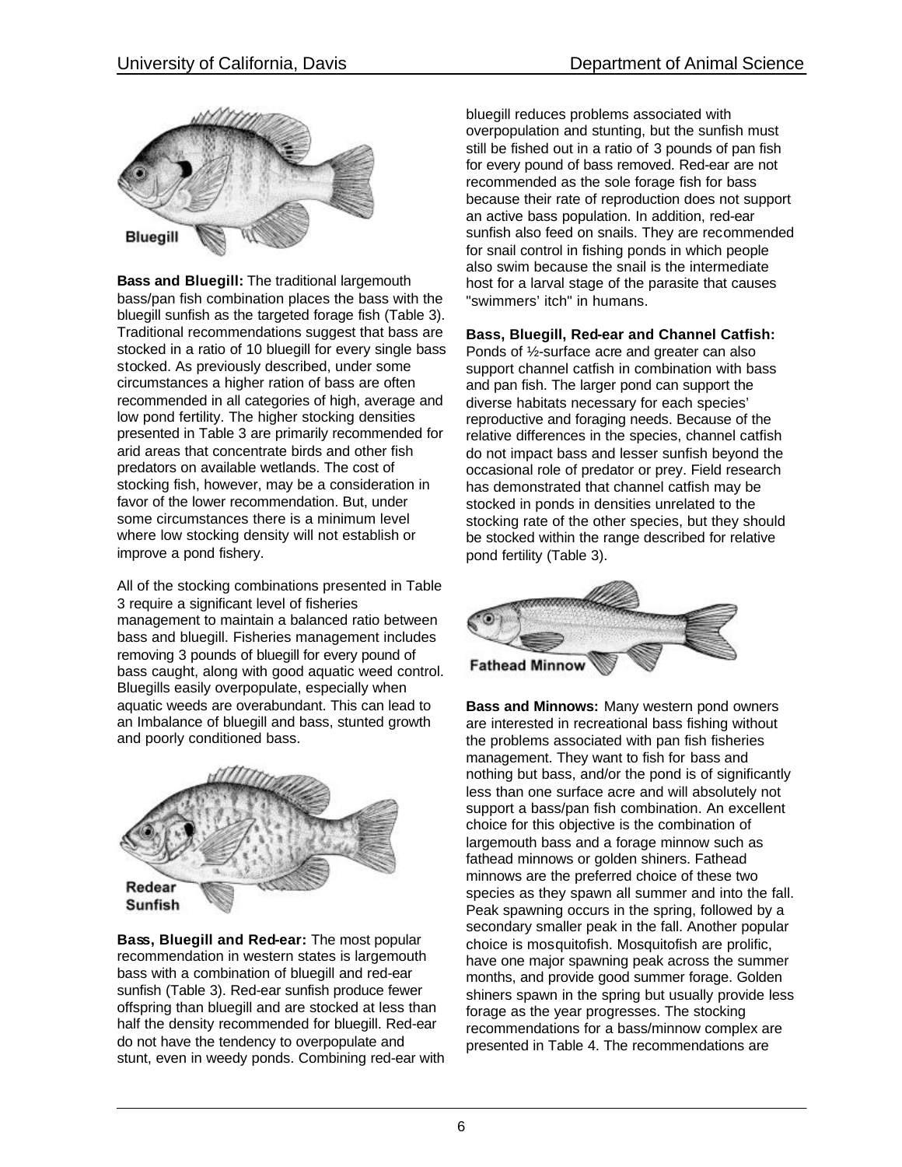

**Bass and Bluegill:** The traditional largemouth bass/pan fish combination places the bass with the bluegill sunfish as the targeted forage fish (Table 3). Traditional recommendations suggest that bass are stocked in a ratio of 10 bluegill for every single bass stocked. As previously described, under some circumstances a higher ration of bass are often recommended in all categories of high, average and low pond fertility. The higher stocking densities presented in Table 3 are primarily recommended for arid areas that concentrate birds and other fish predators on available wetlands. The cost of stocking fish, however, may be a consideration in favor of the lower recommendation. But, under some circumstances there is a minimum level where low stocking density will not establish or improve a pond fishery.

All of the stocking combinations presented in Table 3 require a significant level of fisheries management to maintain a balanced ratio between bass and bluegill. Fisheries management includes removing 3 pounds of bluegill for every pound of bass caught, along with good aquatic weed control. Bluegills easily overpopulate, especially when aquatic weeds are overabundant. This can lead to an Imbalance of bluegill and bass, stunted growth and poorly conditioned bass.



**Bass, Bluegill and Red-ear:** The most popular recommendation in western states is largemouth bass with a combination of bluegill and red-ear sunfish (Table 3). Red-ear sunfish produce fewer offspring than bluegill and are stocked at less than half the density recommended for bluegill. Red-ear do not have the tendency to overpopulate and stunt, even in weedy ponds. Combining red-ear with bluegill reduces problems associated with overpopulation and stunting, but the sunfish must still be fished out in a ratio of 3 pounds of pan fish for every pound of bass removed. Red-ear are not recommended as the sole forage fish for bass because their rate of reproduction does not support an active bass population. In addition, red-ear sunfish also feed on snails. They are recommended for snail control in fishing ponds in which people also swim because the snail is the intermediate host for a larval stage of the parasite that causes "swimmers' itch" in humans.

## **Bass, Bluegill, Red-ear and Channel Catfish:**

Ponds of ½-surface acre and greater can also support channel catfish in combination with bass and pan fish. The larger pond can support the diverse habitats necessary for each species' reproductive and foraging needs. Because of the relative differences in the species, channel catfish do not impact bass and lesser sunfish beyond the occasional role of predator or prey. Field research has demonstrated that channel catfish may be stocked in ponds in densities unrelated to the stocking rate of the other species, but they should be stocked within the range described for relative pond fertility (Table 3).



**Bass and Minnows:** Many western pond owners are interested in recreational bass fishing without the problems associated with pan fish fisheries management. They want to fish for bass and nothing but bass, and/or the pond is of significantly less than one surface acre and will absolutely not support a bass/pan fish combination. An excellent choice for this objective is the combination of largemouth bass and a forage minnow such as fathead minnows or golden shiners. Fathead minnows are the preferred choice of these two species as they spawn all summer and into the fall. Peak spawning occurs in the spring, followed by a secondary smaller peak in the fall. Another popular choice is mosquitofish. Mosquitofish are prolific, have one major spawning peak across the summer months, and provide good summer forage. Golden shiners spawn in the spring but usually provide less forage as the year progresses. The stocking recommendations for a bass/minnow complex are presented in Table 4. The recommendations are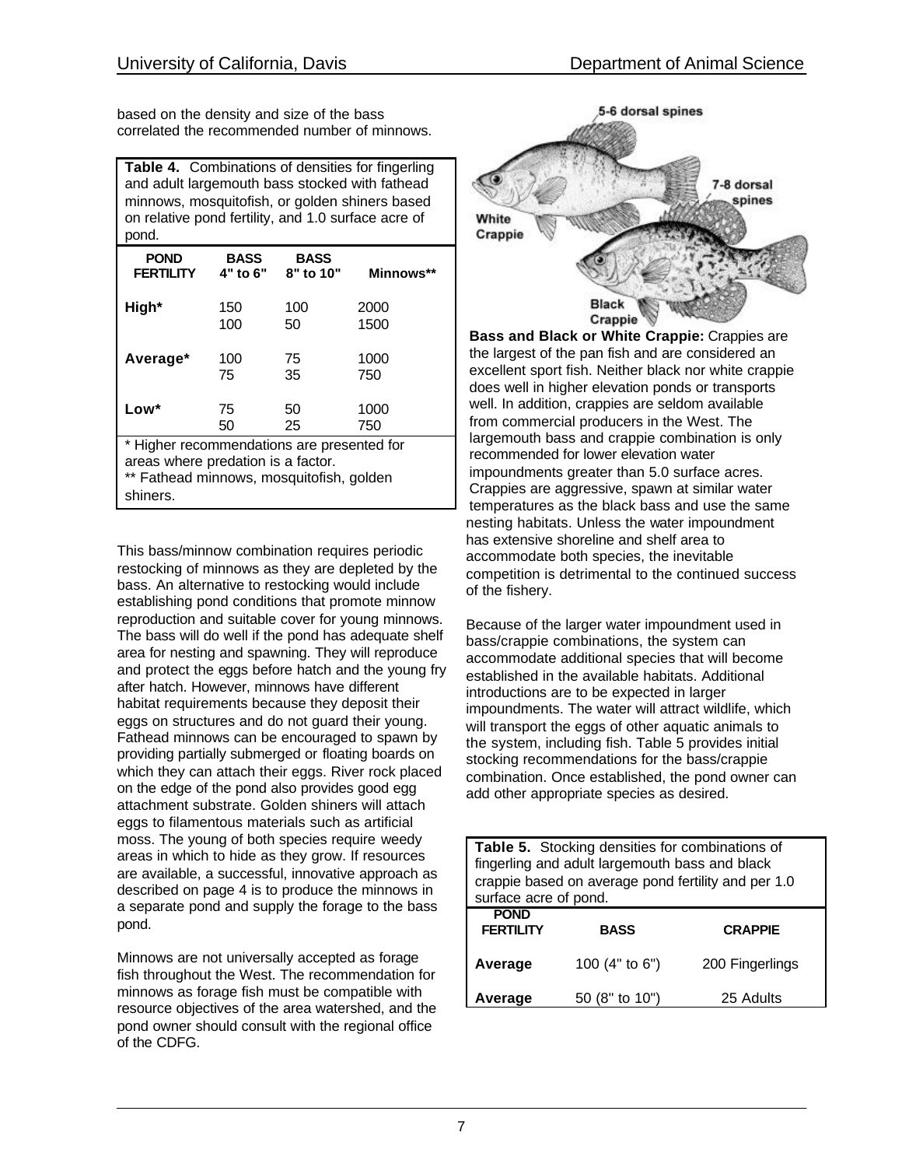based on the density and size of the bass correlated the recommended number of minnows.

**Table 4.** Combinations of densities for fingerling and adult largemouth bass stocked with fathead minnows, mosquitofish, or golden shiners based on relative pond fertility, and 1.0 surface acre of pond.

| <b>POND</b>                                | <b>BASS</b> | <b>BASS</b> | Minnows** |
|--------------------------------------------|-------------|-------------|-----------|
| <b>FERTILITY</b>                           | 4" to 6"    | 8" to 10"   |           |
| High*                                      | 150         | 100         | 2000      |
|                                            | 100         | 50          | 1500      |
| Average*                                   | 100         | 75          | 1000      |
|                                            | 75          | 35          | 750       |
| Low*                                       | 75          | 50          | 1000      |
|                                            | 50          | 25          | 750       |
| * Higher recommendations are presented for |             |             |           |

areas where predation is a factor.

\*\* Fathead minnows, mosquitofish, golden

shiners.

This bass/minnow combination requires periodic restocking of minnows as they are depleted by the bass. An alternative to restocking would include establishing pond conditions that promote minnow reproduction and suitable cover for young minnows. The bass will do well if the pond has adequate shelf area for nesting and spawning. They will reproduce and protect the eggs before hatch and the young fry after hatch. However, minnows have different habitat requirements because they deposit their eggs on structures and do not guard their young. Fathead minnows can be encouraged to spawn by providing partially submerged or floating boards on which they can attach their eggs. River rock placed on the edge of the pond also provides good egg attachment substrate. Golden shiners will attach eggs to filamentous materials such as artificial moss. The young of both species require weedy areas in which to hide as they grow. If resources are available, a successful, innovative approach as described on page 4 is to produce the minnows in a separate pond and supply the forage to the bass pond.

Minnows are not universally accepted as forage fish throughout the West. The recommendation for minnows as forage fish must be compatible with resource objectives of the area watershed, and the pond owner should consult with the regional office of the CDFG.



**Bass and Black or White Crappie:** Crappies are the largest of the pan fish and are considered an excellent sport fish. Neither black nor white crappie does well in higher elevation ponds or transports well. In addition, crappies are seldom available from commercial producers in the West. The largemouth bass and crappie combination is only recommended for lower elevation water impoundments greater than 5.0 surface acres. Crappies are aggressive, spawn at similar water temperatures as the black bass and use the same nesting habitats. Unless the water impoundment has extensive shoreline and shelf area to accommodate both species, the inevitable competition is detrimental to the continued success of the fishery.

Because of the larger water impoundment used in bass/crappie combinations, the system can accommodate additional species that will become established in the available habitats. Additional introductions are to be expected in larger impoundments. The water will attract wildlife, which will transport the eggs of other aquatic animals to the system, including fish. Table 5 provides initial stocking recommendations for the bass/crappie combination. Once established, the pond owner can add other appropriate species as desired.

**Table 5.** Stocking densities for combinations of fingerling and adult largemouth bass and black crappie based on average pond fertility and per 1.0 surface acre of pond. **POND FERTILITY BASS CRAPPIE Average** 100 (4" to 6") 200 Fingerlings

**Average** 50 (8" to 10") 25 Adults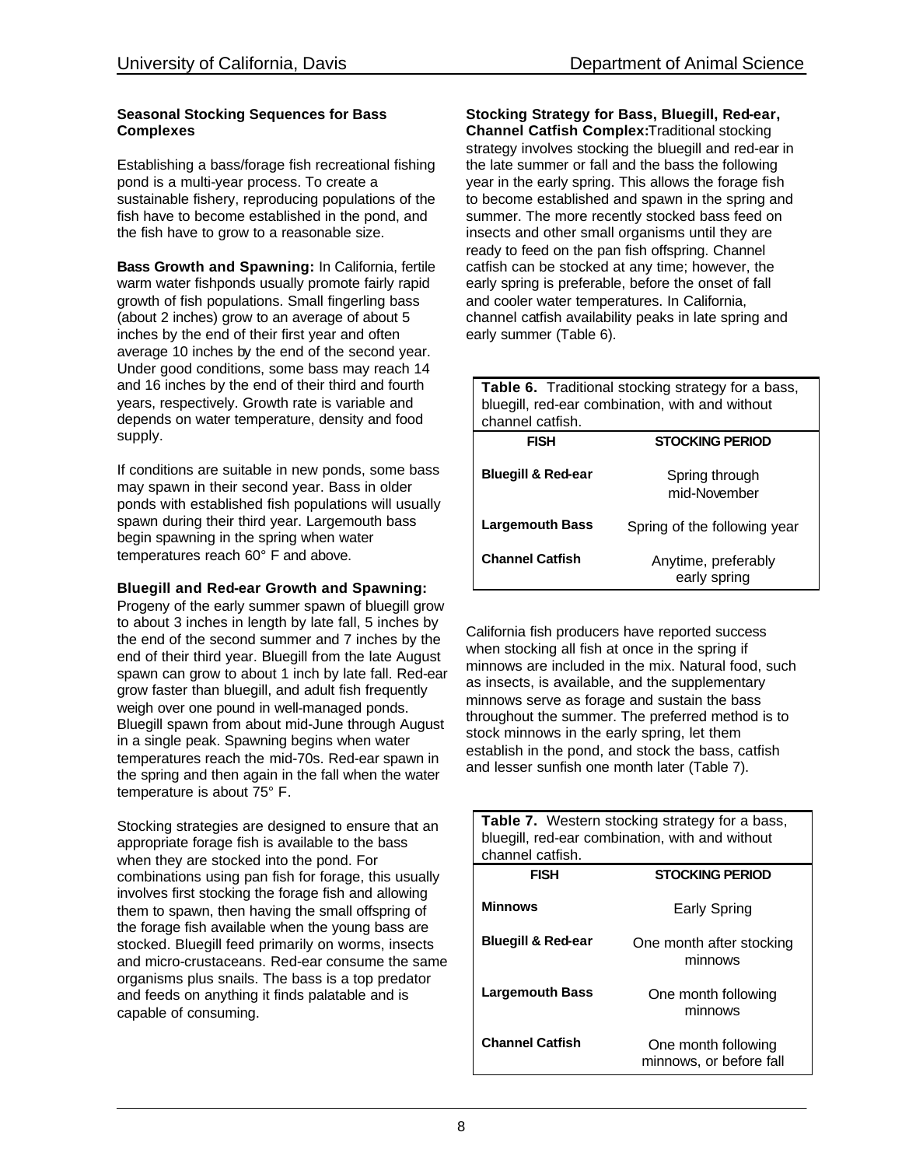#### **Seasonal Stocking Sequences for Bass Complexes**

Establishing a bass/forage fish recreational fishing pond is a multi-year process. To create a sustainable fishery, reproducing populations of the fish have to become established in the pond, and the fish have to grow to a reasonable size.

**Bass Growth and Spawning:** In California, fertile warm water fishponds usually promote fairly rapid growth of fish populations. Small fingerling bass (about 2 inches) grow to an average of about 5 inches by the end of their first year and often average 10 inches by the end of the second year. Under good conditions, some bass may reach 14 and 16 inches by the end of their third and fourth years, respectively. Growth rate is variable and depends on water temperature, density and food supply.

If conditions are suitable in new ponds, some bass may spawn in their second year. Bass in older ponds with established fish populations will usually spawn during their third year. Largemouth bass begin spawning in the spring when water temperatures reach 60° F and above.

# **Bluegill and Red-ear Growth and Spawning:**

Progeny of the early summer spawn of bluegill grow to about 3 inches in length by late fall, 5 inches by the end of the second summer and 7 inches by the end of their third year. Bluegill from the late August spawn can grow to about 1 inch by late fall. Red-ear grow faster than bluegill, and adult fish frequently weigh over one pound in well-managed ponds. Bluegill spawn from about mid-June through August in a single peak. Spawning begins when water temperatures reach the mid-70s. Red-ear spawn in the spring and then again in the fall when the water temperature is about 75° F.

Stocking strategies are designed to ensure that an appropriate forage fish is available to the bass when they are stocked into the pond. For combinations using pan fish for forage, this usually involves first stocking the forage fish and allowing them to spawn, then having the small offspring of the forage fish available when the young bass are stocked. Bluegill feed primarily on worms, insects and micro-crustaceans. Red-ear consume the same organisms plus snails. The bass is a top predator and feeds on anything it finds palatable and is capable of consuming.

**Stocking Strategy for Bass, Bluegill, Red-ear, Channel Catfish Complex:**Traditional stocking strategy involves stocking the bluegill and red-ear in the late summer or fall and the bass the following year in the early spring. This allows the forage fish to become established and spawn in the spring and summer. The more recently stocked bass feed on insects and other small organisms until they are ready to feed on the pan fish offspring. Channel catfish can be stocked at any time; however, the early spring is preferable, before the onset of fall and cooler water temperatures. In California, channel catfish availability peaks in late spring and early summer (Table 6).

| <b>Table 6.</b> Traditional stocking strategy for a bass,<br>bluegill, red-ear combination, with and without<br>channel catfish. |                                     |  |
|----------------------------------------------------------------------------------------------------------------------------------|-------------------------------------|--|
| <b>FISH</b>                                                                                                                      | <b>STOCKING PERIOD</b>              |  |
| <b>Bluegill &amp; Red-ear</b>                                                                                                    | Spring through<br>mid-November      |  |
| <b>Largemouth Bass</b>                                                                                                           | Spring of the following year        |  |
| <b>Channel Catfish</b>                                                                                                           | Anytime, preferably<br>early spring |  |

California fish producers have reported success when stocking all fish at once in the spring if minnows are included in the mix. Natural food, such as insects, is available, and the supplementary minnows serve as forage and sustain the bass throughout the summer. The preferred method is to stock minnows in the early spring, let them establish in the pond, and stock the bass, catfish and lesser sunfish one month later (Table 7).

| <b>Table 7.</b> Western stocking strategy for a bass, |                                                 |  |
|-------------------------------------------------------|-------------------------------------------------|--|
|                                                       | bluegill, red-ear combination, with and without |  |
| channel catfish.                                      |                                                 |  |
| FISH                                                  | <b>STOCKING PERIOD</b>                          |  |
|                                                       |                                                 |  |
| <b>Minnows</b>                                        | Early Spring                                    |  |
|                                                       |                                                 |  |
| <b>Bluegill &amp; Red-ear</b>                         | One month after stocking                        |  |
|                                                       | minnows                                         |  |
|                                                       |                                                 |  |
| <b>Largemouth Bass</b>                                | One month following                             |  |
|                                                       | minnows                                         |  |
|                                                       |                                                 |  |
| <b>Channel Catfish</b>                                | One month following                             |  |
|                                                       | minnows, or before fall                         |  |
|                                                       |                                                 |  |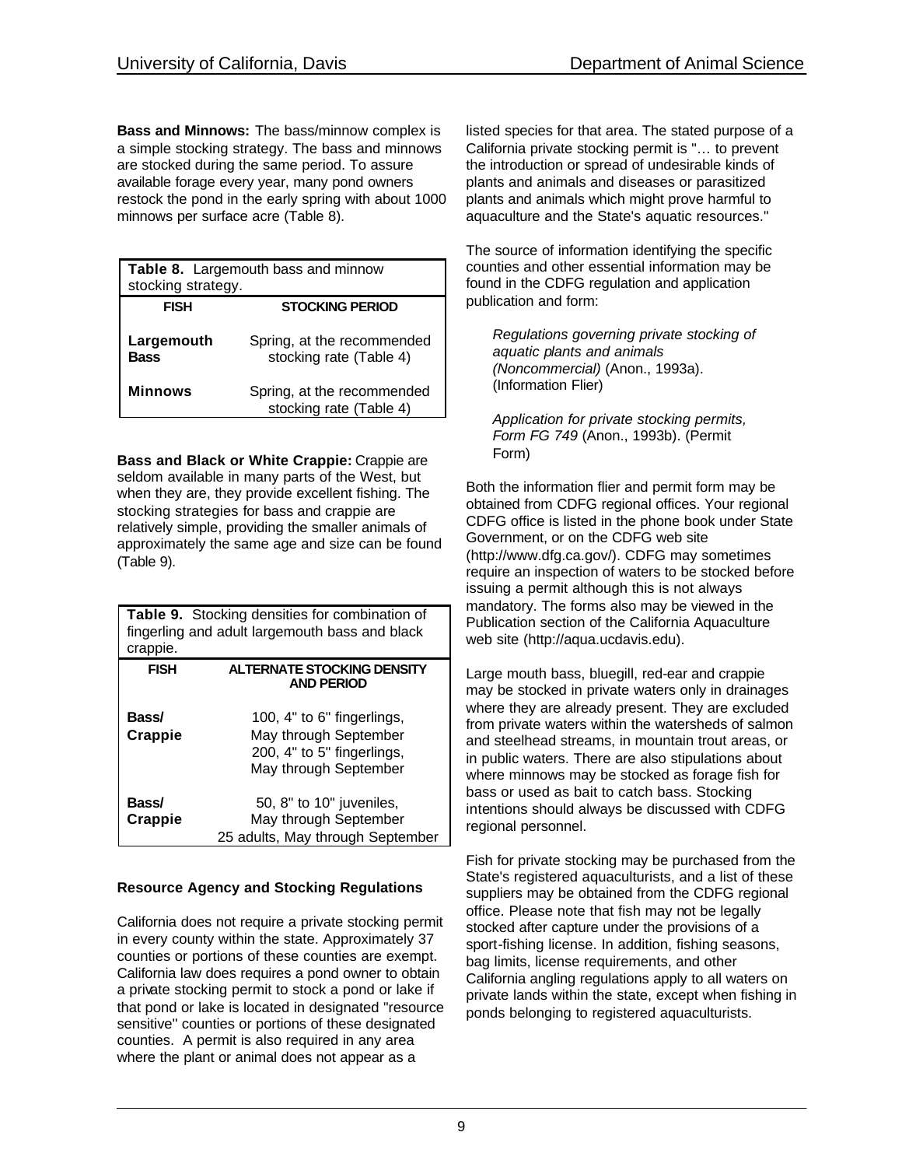**Bass and Minnows:** The bass/minnow complex is a simple stocking strategy. The bass and minnows are stocked during the same period. To assure available forage every year, many pond owners restock the pond in the early spring with about 1000 minnows per surface acre (Table 8).

| stocking strategy.        | <b>Table 8.</b> Largemouth bass and minnow            |
|---------------------------|-------------------------------------------------------|
| <b>FISH</b>               | <b>STOCKING PERIOD</b>                                |
| Largemouth<br><b>Bass</b> | Spring, at the recommended<br>stocking rate (Table 4) |
| <b>Minnows</b>            | Spring, at the recommended<br>stocking rate (Table 4) |

**Bass and Black or White Crappie:** Crappie are seldom available in many parts of the West, but when they are, they provide excellent fishing. The stocking strategies for bass and crappie are relatively simple, providing the smaller animals of approximately the same age and size can be found (Table 9).

| crappie.         | <b>Table 9.</b> Stocking densities for combination of<br>fingerling and adult largemouth bass and black    |
|------------------|------------------------------------------------------------------------------------------------------------|
| <b>FISH</b>      | <b>ALTERNATE STOCKING DENSITY</b><br><b>AND PERIOD</b>                                                     |
| Bass/<br>Crappie | 100, 4" to 6" fingerlings,<br>May through September<br>200, 4" to 5" fingerlings,<br>May through September |
| Bass/<br>Crappie | 50, 8" to 10" juveniles,<br>May through September<br>25 adults, May through September                      |

# **Resource Agency and Stocking Regulations**

California does not require a private stocking permit in every county within the state. Approximately 37 counties or portions of these counties are exempt. California law does requires a pond owner to obtain a private stocking permit to stock a pond or lake if that pond or lake is located in designated "resource sensitive'' counties or portions of these designated counties. A permit is also required in any area where the plant or animal does not appear as a

listed species for that area. The stated purpose of a California private stocking permit is "… to prevent the introduction or spread of undesirable kinds of plants and animals and diseases or parasitized plants and animals which might prove harmful to aquaculture and the State's aquatic resources."

The source of information identifying the specific counties and other essential information may be found in the CDFG regulation and application publication and form:

*Regulations governing private stocking of aquatic plants and animals (Noncommercial)* (Anon., 1993a). (Information Flier)

*Application for private stocking permits, Form FG 749* (Anon., 1993b). (Permit Form)

Both the information flier and permit form may be obtained from CDFG regional offices. Your regional CDFG office is listed in the phone book under State Government, or on the CDFG web site (http://www.dfg.ca.gov/). CDFG may sometimes require an inspection of waters to be stocked before issuing a permit although this is not always mandatory. The forms also may be viewed in the Publication section of the California Aquaculture web site (http://aqua.ucdavis.edu).

Large mouth bass, bluegill, red-ear and crappie may be stocked in private waters only in drainages where they are already present. They are excluded from private waters within the watersheds of salmon and steelhead streams, in mountain trout areas, or in public waters. There are also stipulations about where minnows may be stocked as forage fish for bass or used as bait to catch bass. Stocking intentions should always be discussed with CDFG regional personnel.

Fish for private stocking may be purchased from the State's registered aquaculturists, and a list of these suppliers may be obtained from the CDFG regional office. Please note that fish may not be legally stocked after capture under the provisions of a sport-fishing license. In addition, fishing seasons, bag limits, license requirements, and other California angling regulations apply to all waters on private lands within the state, except when fishing in ponds belonging to registered aquaculturists.